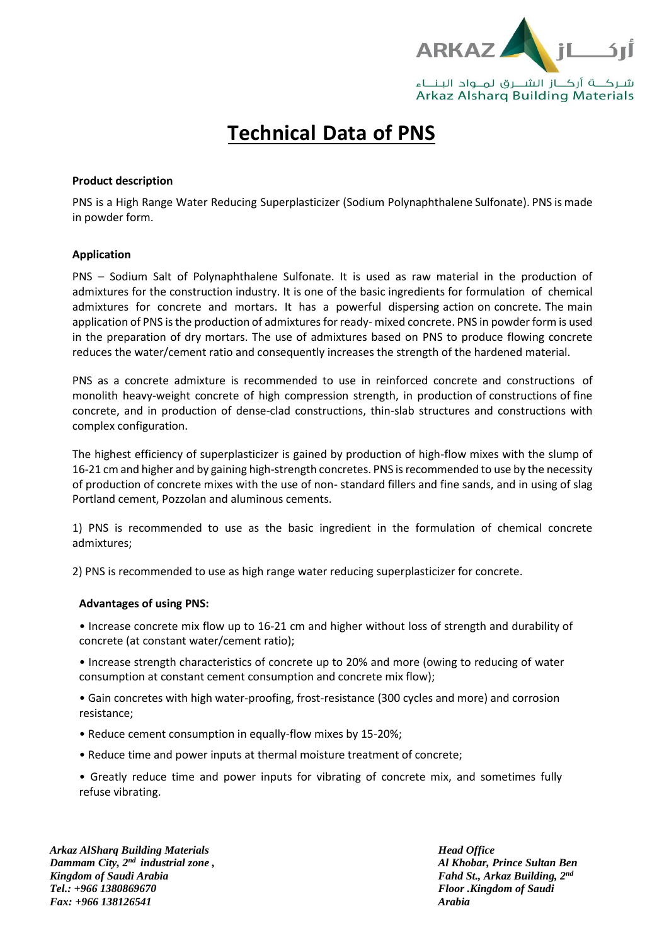

# **Technical Data of PNS**

# **Product description**

PNS is a High Range Water Reducing Superplasticizer (Sodium Polynaphthalene Sulfonate). PNS is made in powder form.

## **Application**

PNS – Sodium Salt of Polynaphthalene Sulfonate. It is used as raw material in the production of admixtures for the construction industry. It is one of the basic ingredients for formulation of chemical admixtures for concrete and mortars. It has a powerful dispersing action on concrete. The main application of PNS is the production of admixtures for ready- mixed concrete. PNS in powder form is used in the preparation of dry mortars. The use of admixtures based on PNS to produce flowing concrete reduces the water/cement ratio and consequently increases the strength of the hardened material.

PNS as a concrete admixture is recommended to use in reinforced concrete and constructions of monolith heavy-weight concrete of high compression strength, in production of constructions of fine concrete, and in production of dense-clad constructions, thin-slab structures and constructions with complex configuration.

The highest efficiency of superplasticizer is gained by production of high-flow mixes with the slump of 16-21 cm and higher and by gaining high-strength concretes. PNS is recommended to use by the necessity of production of concrete mixes with the use of non- standard fillers and fine sands, and in using of slag Portland cement, Pozzolan and aluminous cements.

1) PNS is recommended to use as the basic ingredient in the formulation of chemical concrete admixtures;

2) PNS is recommended to use as high range water reducing superplasticizer for concrete.

#### **Advantages of using PNS:**

• Increase concrete mix flow up to 16-21 cm and higher without loss of strength and durability of concrete (at constant water/cement ratio);

• Increase strength characteristics of concrete up to 20% and more (owing to reducing of water consumption at constant cement consumption and concrete mix flow);

• Gain concretes with high water-proofing, frost-resistance (300 cycles and more) and corrosion resistance;

- Reduce cement consumption in equally-flow mixes by 15-20%;
- Reduce time and power inputs at thermal moisture treatment of concrete;

• Greatly reduce time and power inputs for vibrating of concrete mix, and sometimes fully refuse vibrating.

*Arkaz AlSharq Building Materials Dammam City, 2 nd industrial zone , Kingdom of Saudi Arabia Tel.: +966 1380869670 Fax: +966 138126541*

*Head Office Al Khobar, Prince Sultan Ben Fahd St., Arkaz Building, 2 nd Floor .Kingdom of Saudi Arabia*